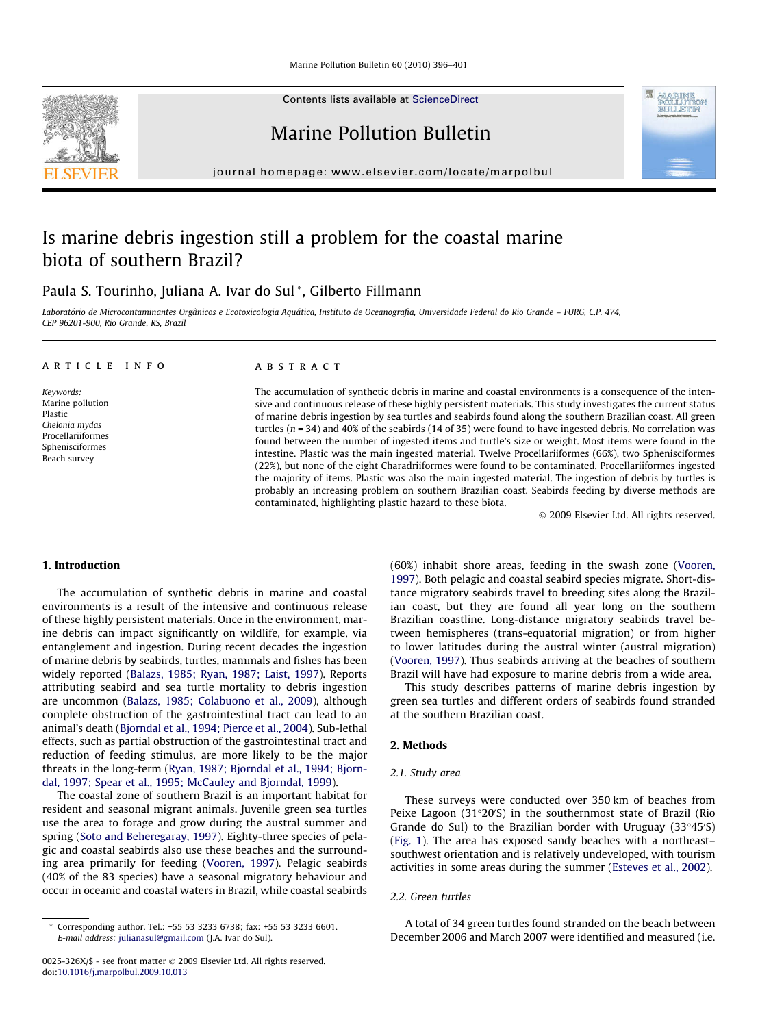Contents lists available at [ScienceDirect](http://www.sciencedirect.com/science/journal/0025326X)

Marine Pollution Bulletin

journal homepage: [www.elsevier.com/locate/marpolbul](http://www.elsevier.com/locate/marpolbul)

# Is marine debris ingestion still a problem for the coastal marine biota of southern Brazil?

## Paula S. Tourinho, Juliana A. Ivar do Sul \*, Gilberto Fillmann

Laboratório de Microcontaminantes Orgânicos e Ecotoxicologia Aquática, Instituto de Oceanografia, Universidade Federal do Rio Grande – FURG, C.P. 474, CEP 96201-900, Rio Grande, RS, Brazil

#### article info

Keywords: Marine pollution Plastic Chelonia mydas Procellariiformes Sphenisciformes Beach survey

#### ABSTRACT

The accumulation of synthetic debris in marine and coastal environments is a consequence of the intensive and continuous release of these highly persistent materials. This study investigates the current status of marine debris ingestion by sea turtles and seabirds found along the southern Brazilian coast. All green turtles ( $n = 34$ ) and 40% of the seabirds (14 of 35) were found to have ingested debris. No correlation was found between the number of ingested items and turtle's size or weight. Most items were found in the intestine. Plastic was the main ingested material. Twelve Procellariiformes (66%), two Sphenisciformes (22%), but none of the eight Charadriiformes were found to be contaminated. Procellariiformes ingested the majority of items. Plastic was also the main ingested material. The ingestion of debris by turtles is probably an increasing problem on southern Brazilian coast. Seabirds feeding by diverse methods are contaminated, highlighting plastic hazard to these biota.

- 2009 Elsevier Ltd. All rights reserved.

**A TO TEST POLICUTIN** 

### 1. Introduction

The accumulation of synthetic debris in marine and coastal environments is a result of the intensive and continuous release of these highly persistent materials. Once in the environment, marine debris can impact significantly on wildlife, for example, via entanglement and ingestion. During recent decades the ingestion of marine debris by seabirds, turtles, mammals and fishes has been widely reported ([Balazs, 1985; Ryan, 1987; Laist, 1997\)](#page-5-0). Reports attributing seabird and sea turtle mortality to debris ingestion are uncommon [\(Balazs, 1985; Colabuono et al., 2009\)](#page-5-0), although complete obstruction of the gastrointestinal tract can lead to an animal's death ([Bjorndal et al., 1994; Pierce et al., 2004](#page-5-0)). Sub-lethal effects, such as partial obstruction of the gastrointestinal tract and reduction of feeding stimulus, are more likely to be the major threats in the long-term [\(Ryan, 1987; Bjorndal et al., 1994; Bjorn](#page-5-0)[dal, 1997; Spear et al., 1995; McCauley and Bjorndal, 1999](#page-5-0)).

The coastal zone of southern Brazil is an important habitat for resident and seasonal migrant animals. Juvenile green sea turtles use the area to forage and grow during the austral summer and spring ([Soto and Beheregaray, 1997\)](#page-5-0). Eighty-three species of pelagic and coastal seabirds also use these beaches and the surrounding area primarily for feeding ([Vooren, 1997](#page-5-0)). Pelagic seabirds (40% of the 83 species) have a seasonal migratory behaviour and occur in oceanic and coastal waters in Brazil, while coastal seabirds (60%) inhabit shore areas, feeding in the swash zone ([Vooren,](#page-5-0) [1997\)](#page-5-0). Both pelagic and coastal seabird species migrate. Short-distance migratory seabirds travel to breeding sites along the Brazilian coast, but they are found all year long on the southern Brazilian coastline. Long-distance migratory seabirds travel between hemispheres (trans-equatorial migration) or from higher to lower latitudes during the austral winter (austral migration) ([Vooren, 1997\)](#page-5-0). Thus seabirds arriving at the beaches of southern Brazil will have had exposure to marine debris from a wide area.

This study describes patterns of marine debris ingestion by green sea turtles and different orders of seabirds found stranded at the southern Brazilian coast.

## 2. Methods

### 2.1. Study area

These surveys were conducted over 350 km of beaches from Peixe Lagoon  $(31°20'S)$  in the southernmost state of Brazil (Rio Grande do Sul) to the Brazilian border with Uruguay  $(33°45'S)$ ([Fig. 1](#page-1-0)). The area has exposed sandy beaches with a northeast– southwest orientation and is relatively undeveloped, with tourism activities in some areas during the summer [\(Esteves et al., 2002\)](#page-5-0).

## 2.2. Green turtles

A total of 34 green turtles found stranded on the beach between December 2006 and March 2007 were identified and measured (i.e.



<sup>\*</sup> Corresponding author. Tel.: +55 53 3233 6738; fax: +55 53 3233 6601. E-mail address: [julianasul@gmail.com](mailto:julianasul@gmail.com) (J.A. Ivar do Sul).

<sup>0025-326</sup>X/\$ - see front matter © 2009 Elsevier Ltd. All rights reserved. doi:[10.1016/j.marpolbul.2009.10.013](http://dx.doi.org/10.1016/j.marpolbul.2009.10.013)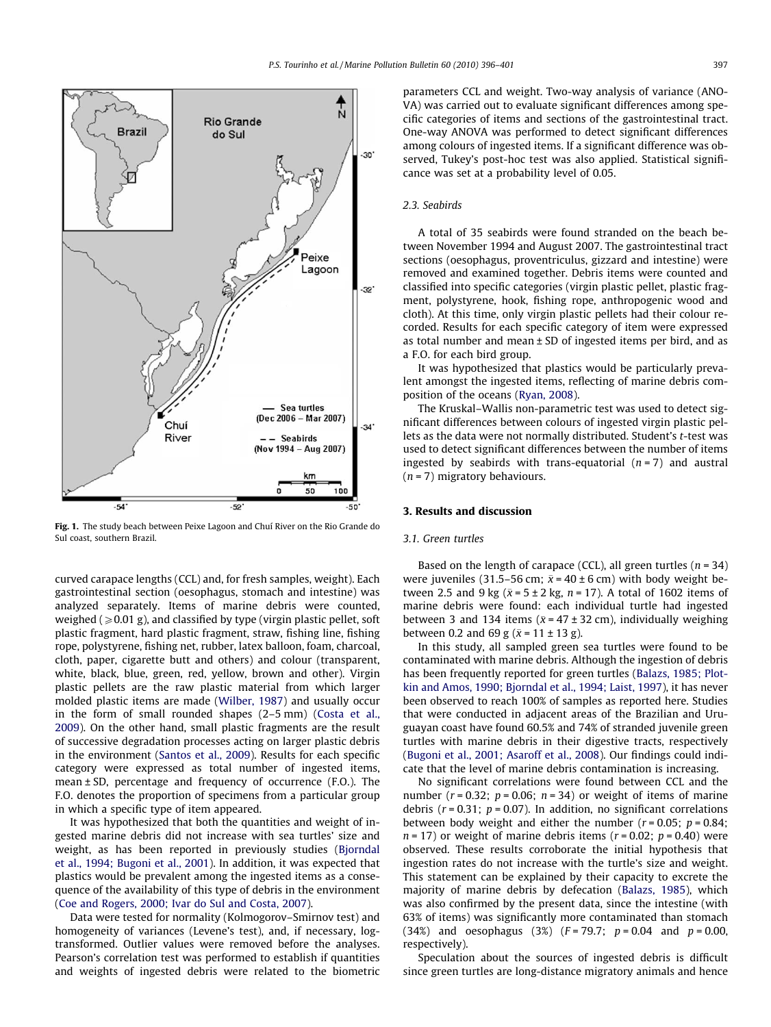<span id="page-1-0"></span>

Fig. 1. The study beach between Peixe Lagoon and Chuí River on the Rio Grande do Sul coast, southern Brazil.

curved carapace lengths (CCL) and, for fresh samples, weight). Each gastrointestinal section (oesophagus, stomach and intestine) was analyzed separately. Items of marine debris were counted, weighed ( $\geqslant$  0.01 g), and classified by type (virgin plastic pellet, soft plastic fragment, hard plastic fragment, straw, fishing line, fishing rope, polystyrene, fishing net, rubber, latex balloon, foam, charcoal, cloth, paper, cigarette butt and others) and colour (transparent, white, black, blue, green, red, yellow, brown and other). Virgin plastic pellets are the raw plastic material from which larger molded plastic items are made ([Wilber, 1987\)](#page-5-0) and usually occur in the form of small rounded shapes (2–5 mm) [\(Costa et al.,](#page-5-0) [2009](#page-5-0)). On the other hand, small plastic fragments are the result of successive degradation processes acting on larger plastic debris in the environment ([Santos et al., 2009](#page-5-0)). Results for each specific category were expressed as total number of ingested items, mean ± SD, percentage and frequency of occurrence (F.O.). The F.O. denotes the proportion of specimens from a particular group in which a specific type of item appeared.

It was hypothesized that both the quantities and weight of ingested marine debris did not increase with sea turtles' size and weight, as has been reported in previously studies ([Bjorndal](#page-5-0) [et al., 1994; Bugoni et al., 2001\)](#page-5-0). In addition, it was expected that plastics would be prevalent among the ingested items as a consequence of the availability of this type of debris in the environment ([Coe and Rogers, 2000; Ivar do Sul and Costa, 2007](#page-5-0)).

Data were tested for normality (Kolmogorov–Smirnov test) and homogeneity of variances (Levene's test), and, if necessary, logtransformed. Outlier values were removed before the analyses. Pearson's correlation test was performed to establish if quantities and weights of ingested debris were related to the biometric parameters CCL and weight. Two-way analysis of variance (ANO-VA) was carried out to evaluate significant differences among specific categories of items and sections of the gastrointestinal tract. One-way ANOVA was performed to detect significant differences among colours of ingested items. If a significant difference was observed, Tukey's post-hoc test was also applied. Statistical significance was set at a probability level of 0.05.

## 2.3. Seabirds

A total of 35 seabirds were found stranded on the beach between November 1994 and August 2007. The gastrointestinal tract sections (oesophagus, proventriculus, gizzard and intestine) were removed and examined together. Debris items were counted and classified into specific categories (virgin plastic pellet, plastic fragment, polystyrene, hook, fishing rope, anthropogenic wood and cloth). At this time, only virgin plastic pellets had their colour recorded. Results for each specific category of item were expressed as total number and mean ± SD of ingested items per bird, and as a F.O. for each bird group.

It was hypothesized that plastics would be particularly prevalent amongst the ingested items, reflecting of marine debris composition of the oceans ([Ryan, 2008](#page-5-0)).

The Kruskal–Wallis non-parametric test was used to detect significant differences between colours of ingested virgin plastic pellets as the data were not normally distributed. Student's t-test was used to detect significant differences between the number of items ingested by seabirds with trans-equatorial  $(n = 7)$  and austral  $(n = 7)$  migratory behaviours.

## 3. Results and discussion

## 3.1. Green turtles

Based on the length of carapace (CCL), all green turtles ( $n = 34$ ) were juveniles (31.5–56 cm;  $\bar{x}$  = 40 ± 6 cm) with body weight between 2.5 and 9 kg ( $\bar{x}$  = 5 ± 2 kg, n = 17). A total of 1602 items of marine debris were found: each individual turtle had ingested between 3 and 134 items ( $\bar{x}$  = 47 ± 32 cm), individually weighing between 0.2 and 69 g ( $\bar{x}$  = 11 ± 13 g).

In this study, all sampled green sea turtles were found to be contaminated with marine debris. Although the ingestion of debris has been frequently reported for green turtles ([Balazs, 1985; Plot](#page-5-0)[kin and Amos, 1990; Bjorndal et al., 1994; Laist, 1997\)](#page-5-0), it has never been observed to reach 100% of samples as reported here. Studies that were conducted in adjacent areas of the Brazilian and Uruguayan coast have found 60.5% and 74% of stranded juvenile green turtles with marine debris in their digestive tracts, respectively ([Bugoni et al., 2001; Asaroff et al., 2008](#page-5-0)). Our findings could indicate that the level of marine debris contamination is increasing.

No significant correlations were found between CCL and the number ( $r = 0.32$ ;  $p = 0.06$ ;  $n = 34$ ) or weight of items of marine debris ( $r = 0.31$ ;  $p = 0.07$ ). In addition, no significant correlations between body weight and either the number ( $r = 0.05$ ;  $p = 0.84$ ;  $n = 17$ ) or weight of marine debris items ( $r = 0.02$ ;  $p = 0.40$ ) were observed. These results corroborate the initial hypothesis that ingestion rates do not increase with the turtle's size and weight. This statement can be explained by their capacity to excrete the majority of marine debris by defecation ([Balazs, 1985\)](#page-5-0), which was also confirmed by the present data, since the intestine (with 63% of items) was significantly more contaminated than stomach (34%) and oesophagus (3%)  $(F = 79.7; p = 0.04$  and  $p = 0.00$ , respectively).

Speculation about the sources of ingested debris is difficult since green turtles are long-distance migratory animals and hence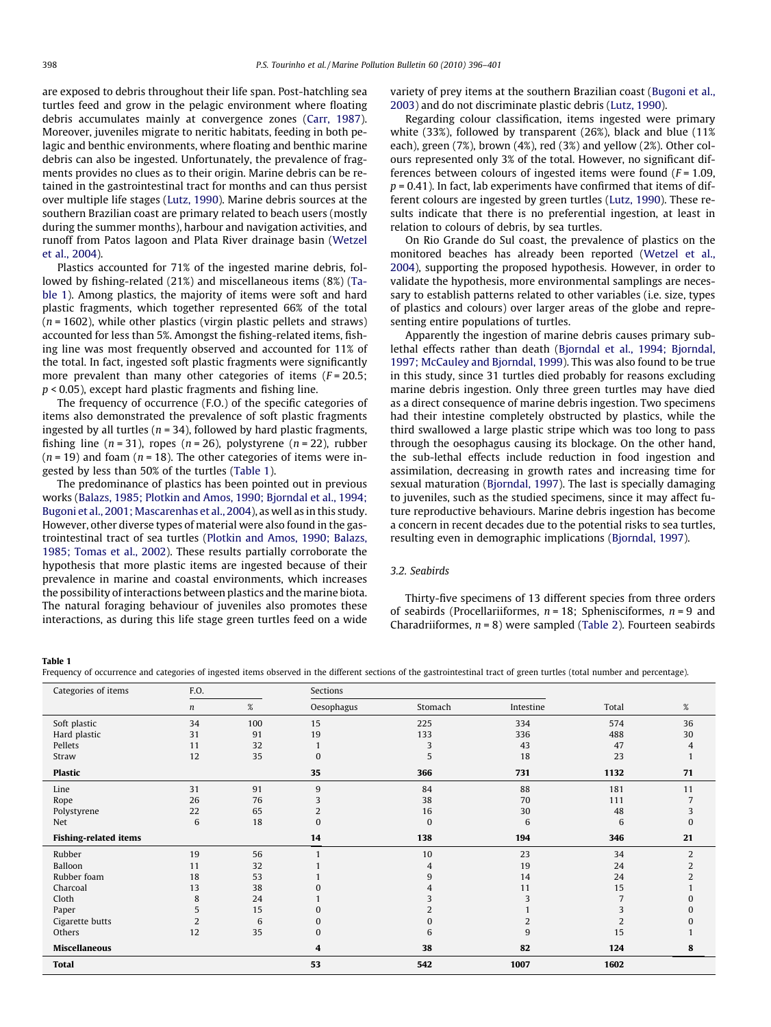are exposed to debris throughout their life span. Post-hatchling sea turtles feed and grow in the pelagic environment where floating debris accumulates mainly at convergence zones [\(Carr, 1987\)](#page-5-0). Moreover, juveniles migrate to neritic habitats, feeding in both pelagic and benthic environments, where floating and benthic marine debris can also be ingested. Unfortunately, the prevalence of fragments provides no clues as to their origin. Marine debris can be retained in the gastrointestinal tract for months and can thus persist over multiple life stages [\(Lutz, 1990\)](#page-5-0). Marine debris sources at the southern Brazilian coast are primary related to beach users (mostly during the summer months), harbour and navigation activities, and runoff from Patos lagoon and Plata River drainage basin [\(Wetzel](#page-5-0) [et al., 2004\)](#page-5-0).

Plastics accounted for 71% of the ingested marine debris, followed by fishing-related (21%) and miscellaneous items (8%) (Table 1). Among plastics, the majority of items were soft and hard plastic fragments, which together represented 66% of the total  $(n = 1602)$ , while other plastics (virgin plastic pellets and straws) accounted for less than 5%. Amongst the fishing-related items, fishing line was most frequently observed and accounted for 11% of the total. In fact, ingested soft plastic fragments were significantly more prevalent than many other categories of items  $(F = 20.5)$ ;  $p < 0.05$ ), except hard plastic fragments and fishing line.

The frequency of occurrence (F.O.) of the specific categories of items also demonstrated the prevalence of soft plastic fragments ingested by all turtles ( $n = 34$ ), followed by hard plastic fragments, fishing line ( $n = 31$ ), ropes ( $n = 26$ ), polystyrene ( $n = 22$ ), rubber  $(n = 19)$  and foam  $(n = 18)$ . The other categories of items were ingested by less than 50% of the turtles (Table 1).

The predominance of plastics has been pointed out in previous works ([Balazs, 1985; Plotkin and Amos, 1990; Bjorndal et al., 1994;](#page-5-0) [Bugoni et al., 2001; Mascarenhas et al., 2004](#page-5-0)), as well as in this study. However, other diverse types of material were also found in the gastrointestinal tract of sea turtles ([Plotkin and Amos, 1990; Balazs,](#page-5-0) [1985; Tomas et al., 2002](#page-5-0)). These results partially corroborate the hypothesis that more plastic items are ingested because of their prevalence in marine and coastal environments, which increases the possibility of interactions between plastics and the marine biota. The natural foraging behaviour of juveniles also promotes these interactions, as during this life stage green turtles feed on a wide variety of prey items at the southern Brazilian coast ([Bugoni et al.,](#page-5-0) [2003\)](#page-5-0) and do not discriminate plastic debris ([Lutz, 1990\)](#page-5-0).

Regarding colour classification, items ingested were primary white (33%), followed by transparent (26%), black and blue (11% each), green (7%), brown (4%), red (3%) and yellow (2%). Other colours represented only 3% of the total. However, no significant differences between colours of ingested items were found  $(F = 1.09,$  $p = 0.41$ ). In fact, lab experiments have confirmed that items of different colours are ingested by green turtles ([Lutz, 1990](#page-5-0)). These results indicate that there is no preferential ingestion, at least in relation to colours of debris, by sea turtles.

On Rio Grande do Sul coast, the prevalence of plastics on the monitored beaches has already been reported ([Wetzel et al.,](#page-5-0) [2004\)](#page-5-0), supporting the proposed hypothesis. However, in order to validate the hypothesis, more environmental samplings are necessary to establish patterns related to other variables (i.e. size, types of plastics and colours) over larger areas of the globe and representing entire populations of turtles.

Apparently the ingestion of marine debris causes primary sublethal effects rather than death ([Bjorndal et al., 1994; Bjorndal,](#page-5-0) 1997; McCauley [and Bjorndal, 1999\)](#page-5-0). This was also found to be true in this study, since 31 turtles died probably for reasons excluding marine debris ingestion. Only three green turtles may have died as a direct consequence of marine debris ingestion. Two specimens had their intestine completely obstructed by plastics, while the third swallowed a large plastic stripe which was too long to pass through the oesophagus causing its blockage. On the other hand, the sub-lethal effects include reduction in food ingestion and assimilation, decreasing in growth rates and increasing time for sexual maturation [\(Bjorndal, 1997\)](#page-5-0). The last is specially damaging to juveniles, such as the studied specimens, since it may affect future reproductive behaviours. Marine debris ingestion has become a concern in recent decades due to the potential risks to sea turtles, resulting even in demographic implications ([Bjorndal, 1997](#page-5-0)).

#### 3.2. Seabirds

Thirty-five specimens of 13 different species from three orders of seabirds (Procellariiformes,  $n = 18$ ; Sphenisciformes,  $n = 9$  and Charadriiformes,  $n = 8$ ) were sampled ([Table 2\)](#page-3-0). Fourteen seabirds

#### Table 1

Frequency of occurrence and categories of ingested items observed in the different sections of the gastrointestinal tract of green turtles (total number and percentage).

| Categories of items          | F.O.           |      | Sections       |                |           |                |                |
|------------------------------|----------------|------|----------------|----------------|-----------|----------------|----------------|
|                              | n              | $\%$ | Oesophagus     | Stomach        | Intestine | Total          | $\%$           |
| Soft plastic                 | 34             | 100  | 15             | 225            | 334       | 574            | 36             |
| Hard plastic                 | 31             | 91   | 19             | 133            | 336       | 488            | 30             |
| Pellets                      | 11             | 32   |                | 3              | 43        | 47             | $\overline{4}$ |
| Straw                        | 12             | 35   | $\mathbf{0}$   | 5              | 18        | 23             |                |
| <b>Plastic</b>               |                |      | 35             | 366            | 731       | 1132           | 71             |
| Line                         | 31             | 91   | 9              | 84             | 88        | 181            | 11             |
| Rope                         | 26             | 76   | 3              | 38             | 70        | 111            |                |
| Polystyrene                  | 22             | 65   | $\overline{2}$ | 16             | 30        | 48             | 3              |
| Net                          | 6              | 18   | $\mathbf{0}$   | $\Omega$       | 6         | 6              | $\mathbf{0}$   |
| <b>Fishing-related items</b> |                |      | 14             | 138            | 194       | 346            | 21             |
| Rubber                       | 19             | 56   |                | 10             | 23        | 34             | $\overline{2}$ |
| Balloon                      | 11             | 32   |                | 4              | 19        | 24             | 2              |
| Rubber foam                  | 18             | 53   |                | 9              | 14        | 24             | $\overline{2}$ |
| Charcoal                     | 13             | 38   | $\Omega$       | 4              | 11        | 15             |                |
| Cloth                        | 8              | 24   |                | 3              | 3         | $\overline{7}$ | O              |
| Paper                        | 5              | 15   | $\mathbf{0}$   | $\overline{2}$ |           | 3              | $\bf{0}$       |
| Cigarette butts              | $\overline{2}$ | 6    | $\bf{0}$       | $\Omega$       | 2         | 2              | $\mathbf{0}$   |
| Others                       | 12             | 35   | $\Omega$       | 6              | 9         | 15             |                |
| <b>Miscellaneous</b>         |                |      | 4              | 38             | 82        | 124            | 8              |
| <b>Total</b>                 |                |      | 53             | 542            | 1007      | 1602           |                |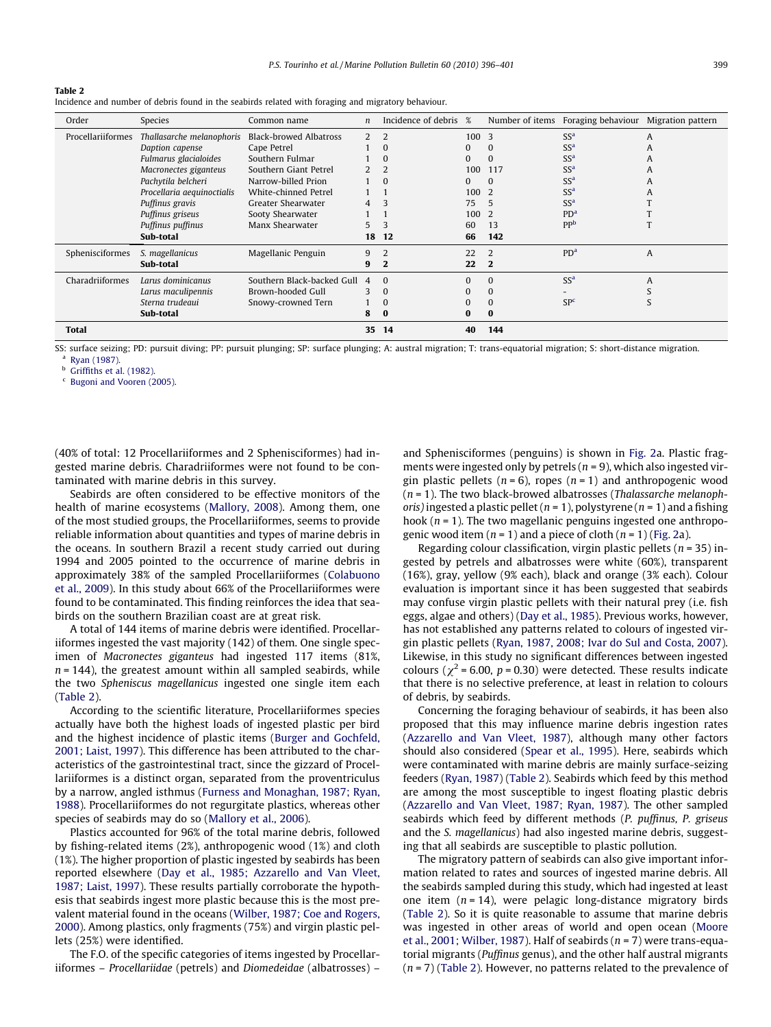P.S. Tourinho et al. / Marine Pollution Bulletin 60 (2010) 396–401 399

| Order             | Species                    | Common name                   | $\mathfrak n$  | Incidence of debris % |          | Number of items | Foraging behaviour Migration pattern |   |
|-------------------|----------------------------|-------------------------------|----------------|-----------------------|----------|-----------------|--------------------------------------|---|
| Procellariiformes | Thallasarche melanophoris  | <b>Black-browed Albatross</b> | $\overline{2}$ | $\overline{2}$        | 100      | 3               | $SS^a$                               | A |
|                   | Daption capense            | Cape Petrel                   |                | $\Omega$              | 0        | $\Omega$        | SS <sup>a</sup>                      | A |
|                   | Fulmarus glacialoides      | Southern Fulmar               |                |                       | 0        | $\Omega$        | SS <sup>a</sup>                      | A |
|                   | Macronectes giganteus      | Southern Giant Petrel         |                |                       | 100      | 117             | $SS^a$                               | A |
|                   | Pachytila belcheri         | Narrow-billed Prion           |                |                       | 0        | $\Omega$        | $SS^a$                               | A |
|                   | Procellaria aequinoctialis | White-chinned Petrel          |                |                       | 100      |                 | $SS^a$                               | A |
|                   | Puffinus gravis            | Greater Shearwater            | 4              | 3                     | 75       | 5               | $SS^a$                               |   |
|                   | Puffinus griseus           | Sooty Shearwater              |                |                       | 100      | $\mathcal{L}$   | PD <sup>a</sup>                      |   |
|                   | Puffinus puffinus          | Manx Shearwater               | 5.             | 3                     | 60       | 13              | <b>PP</b>                            |   |
|                   | Sub-total                  |                               | 18             | 12                    | 66       | 142             |                                      |   |
| Sphenisciformes   | S. magellanicus            | Magellanic Penguin            | q              | $\overline{2}$        | 22       | $\overline{2}$  | PD <sup>a</sup>                      | A |
|                   | Sub-total                  |                               | 9              | $\mathbf{2}$          | 22       | $\mathbf{2}$    |                                      |   |
| Charadriiformes   | Larus dominicanus          | Southern Black-backed Gull    | 4              | $\Omega$              | 0        | $\Omega$        | SS <sup>a</sup>                      | A |
|                   | Larus maculipennis         | Brown-hooded Gull             | 3              | $\Omega$              | $\Omega$ | $\bf{0}$        |                                      |   |
|                   | Sterna trudeaui            | Snowy-crowned Tern            |                | $\Omega$              | 0        | $\Omega$        | SP <sup>c</sup>                      | S |
|                   | Sub-total                  |                               | 8              | $\bf{0}$              | 0        | $\bf{0}$        |                                      |   |
| Total             |                            |                               | 35             | 14                    | 40       | 144             |                                      |   |

SS: surface seizing; PD: pursuit diving; PP: pursuit plunging; SP: surface plunging; A: austral migration; T: trans-equatorial migration; S: short-distance migration. <sup>a</sup> [Ryan \(1987\).](#page-5-0)

[Griffiths et al. \(1982\).](#page-5-0)

<span id="page-3-0"></span>Table 2

<sup>c</sup> [Bugoni and Vooren \(2005\).](#page-5-0)

(40% of total: 12 Procellariiformes and 2 Sphenisciformes) had ingested marine debris. Charadriiformes were not found to be contaminated with marine debris in this survey.

Incidence and number of debris found in the seabirds related with foraging and migratory behaviour.

Seabirds are often considered to be effective monitors of the health of marine ecosystems ([Mallory, 2008](#page-5-0)). Among them, one of the most studied groups, the Procellariiformes, seems to provide reliable information about quantities and types of marine debris in the oceans. In southern Brazil a recent study carried out during 1994 and 2005 pointed to the occurrence of marine debris in approximately 38% of the sampled Procellariiformes [\(Colabuono](#page-5-0) [et al., 2009](#page-5-0)). In this study about 66% of the Procellariiformes were found to be contaminated. This finding reinforces the idea that seabirds on the southern Brazilian coast are at great risk.

A total of 144 items of marine debris were identified. Procellariiformes ingested the vast majority (142) of them. One single specimen of Macronectes giganteus had ingested 117 items (81%,  $n = 144$ ), the greatest amount within all sampled seabirds, while the two Spheniscus magellanicus ingested one single item each (Table 2).

According to the scientific literature, Procellariiformes species actually have both the highest loads of ingested plastic per bird and the highest incidence of plastic items [\(Burger and Gochfeld,](#page-5-0) [2001; Laist, 1997](#page-5-0)). This difference has been attributed to the characteristics of the gastrointestinal tract, since the gizzard of Procellariiformes is a distinct organ, separated from the proventriculus by a narrow, angled isthmus [\(Furness and Monaghan, 1987; Ryan,](#page-5-0) [1988\)](#page-5-0). Procellariiformes do not regurgitate plastics, whereas other species of seabirds may do so [\(Mallory et al., 2006](#page-5-0)).

Plastics accounted for 96% of the total marine debris, followed by fishing-related items (2%), anthropogenic wood (1%) and cloth (1%). The higher proportion of plastic ingested by seabirds has been reported elsewhere ([Day et al., 1985; Azzarello and Van Vleet,](#page-5-0) [1987; Laist, 1997](#page-5-0)). These results partially corroborate the hypothesis that seabirds ingest more plastic because this is the most prevalent material found in the oceans ([Wilber, 1987; Coe and Rogers,](#page-5-0) [2000](#page-5-0)). Among plastics, only fragments (75%) and virgin plastic pellets (25%) were identified.

The F.O. of the specific categories of items ingested by Procellariiformes – Procellariidae (petrels) and Diomedeidae (albatrosses) –

and Sphenisciformes (penguins) is shown in [Fig. 2](#page-4-0)a. Plastic fragments were ingested only by petrels ( $n = 9$ ), which also ingested virgin plastic pellets ( $n = 6$ ), ropes ( $n = 1$ ) and anthropogenic wood  $(n = 1)$ . The two black-browed albatrosses (Thalassarche melanophoris) ingested a plastic pellet ( $n = 1$ ), polystyrene ( $n = 1$ ) and a fishing hook ( $n = 1$ ). The two magellanic penguins ingested one anthropogenic wood item  $(n = 1)$  and a piece of cloth  $(n = 1)$  [\(Fig. 2a](#page-4-0)).

Regarding colour classification, virgin plastic pellets ( $n = 35$ ) ingested by petrels and albatrosses were white (60%), transparent (16%), gray, yellow (9% each), black and orange (3% each). Colour evaluation is important since it has been suggested that seabirds may confuse virgin plastic pellets with their natural prey (i.e. fish eggs, algae and others) (Day et [al., 1985\)](#page-5-0). Previous works, however, has not established any patterns related to colours of ingested virgin plastic pellets ([Ryan, 1987, 2008; Ivar do Sul and Costa, 2007\)](#page-5-0). Likewise, in this study no significant differences between ingested colours ( $\chi^2$  = 6.00, p = 0.30) were detected. These results indicate that there is no selective preference, at least in relation to colours of debris, by seabirds.

Concerning the foraging behaviour of seabirds, it has been also proposed that this may influence marine debris ingestion rates ([Azzarello and Van Vleet, 1987\)](#page-5-0), although many other factors should also considered ([Spear et al., 1995\)](#page-5-0). Here, seabirds which were contaminated with marine debris are mainly surface-seizing feeders [\(Ryan, 1987\)](#page-5-0) (Table 2). Seabirds which feed by this method are among the most susceptible to ingest floating plastic debris ([Azzarello and Van Vleet, 1987; Ryan, 1987\)](#page-5-0). The other sampled seabirds which feed by different methods (P. puffinus, P. griseus and the S. magellanicus) had also ingested marine debris, suggesting that all seabirds are susceptible to plastic pollution.

The migratory pattern of seabirds can also give important information related to rates and sources of ingested marine debris. All the seabirds sampled during this study, which had ingested at least one item  $(n = 14)$ , were pelagic long-distance migratory birds (Table 2). So it is quite reasonable to assume that marine debris was ingested in other areas of world and open ocean [\(Moore](#page-5-0) [et al., 2001; Wilber, 1987](#page-5-0)). Half of seabirds  $(n = 7)$  were trans-equatorial migrants (Puffinus genus), and the other half austral migrants  $(n = 7)$  (Table 2). However, no patterns related to the prevalence of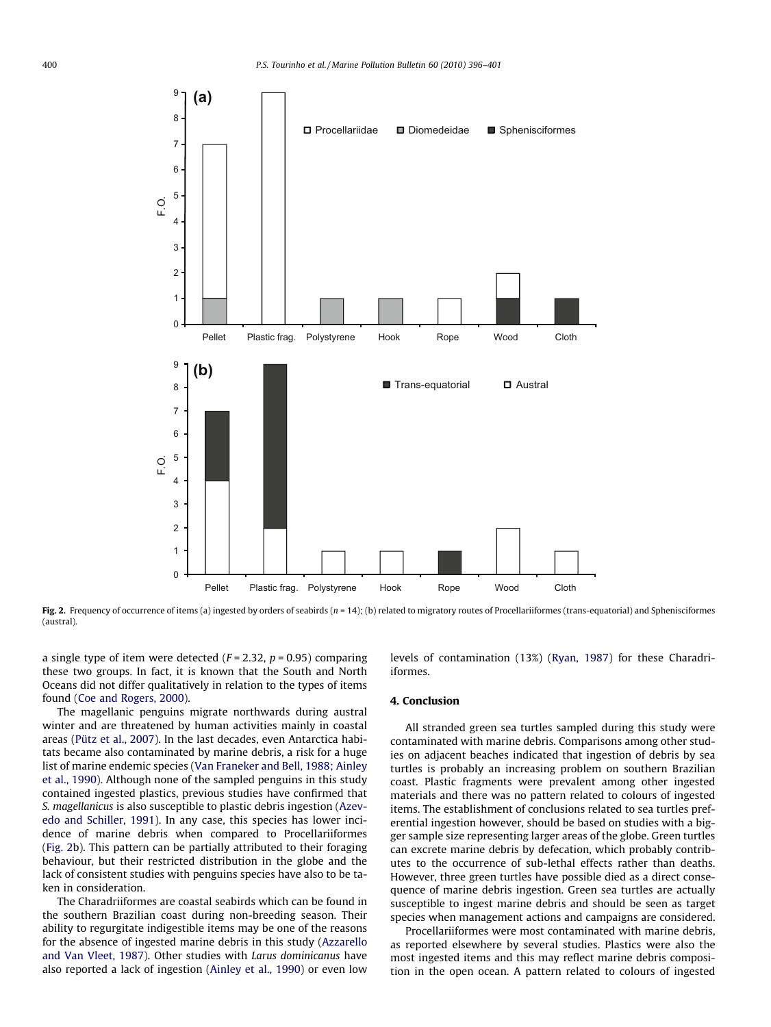<span id="page-4-0"></span>

Fig. 2. Frequency of occurrence of items (a) ingested by orders of seabirds ( $n = 14$ ); (b) related to migratory routes of Procellariiformes (trans-equatorial) and Sphenisciformes (austral).

a single type of item were detected ( $F = 2.32$ ,  $p = 0.95$ ) comparing these two groups. In fact, it is known that the South and North Oceans did not differ qualitatively in relation to the types of items found [\(Coe and Rogers, 2000](#page-5-0)).

The magellanic penguins migrate northwards during austral winter and are threatened by human activities mainly in coastal areas [\(Pütz et al., 2007](#page-5-0)). In the last decades, even Antarctica habitats became also contaminated by marine debris, a risk for a huge list of marine endemic species ([Van Franeker and Bell, 1988; Ainley](#page-5-0) [et al., 1990\)](#page-5-0). Although none of the sampled penguins in this study contained ingested plastics, previous studies have confirmed that S. magellanicus is also susceptible to plastic debris ingestion [\(Azev](#page-5-0)[edo and Schiller, 1991\)](#page-5-0). In any case, this species has lower incidence of marine debris when compared to Procellariiformes (Fig. 2b). This pattern can be partially attributed to their foraging behaviour, but their restricted distribution in the globe and the lack of consistent studies with penguins species have also to be taken in consideration.

The Charadriiformes are coastal seabirds which can be found in the southern Brazilian coast during non-breeding season. Their ability to regurgitate indigestible items may be one of the reasons for the absence of ingested marine debris in this study ([Azzarello](#page-5-0) [and Van Vleet, 1987](#page-5-0)). Other studies with Larus dominicanus have also reported a lack of ingestion [\(Ainley et al., 1990](#page-5-0)) or even low

levels of contamination (13%) ([Ryan, 1987](#page-5-0)) for these Charadriiformes.

#### 4. Conclusion

All stranded green sea turtles sampled during this study were contaminated with marine debris. Comparisons among other studies on adjacent beaches indicated that ingestion of debris by sea turtles is probably an increasing problem on southern Brazilian coast. Plastic fragments were prevalent among other ingested materials and there was no pattern related to colours of ingested items. The establishment of conclusions related to sea turtles preferential ingestion however, should be based on studies with a bigger sample size representing larger areas of the globe. Green turtles can excrete marine debris by defecation, which probably contributes to the occurrence of sub-lethal effects rather than deaths. However, three green turtles have possible died as a direct consequence of marine debris ingestion. Green sea turtles are actually susceptible to ingest marine debris and should be seen as target species when management actions and campaigns are considered.

Procellariiformes were most contaminated with marine debris, as reported elsewhere by several studies. Plastics were also the most ingested items and this may reflect marine debris composition in the open ocean. A pattern related to colours of ingested